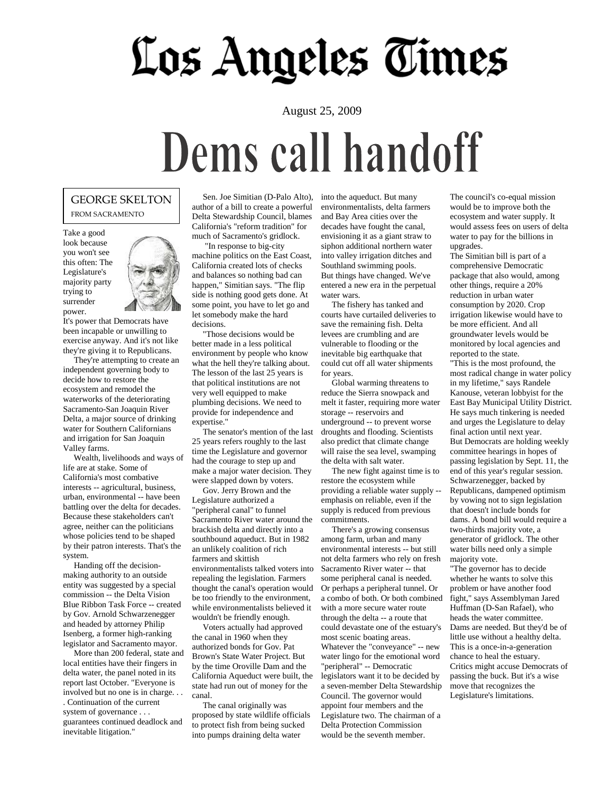## Los Angeles Times

#### August 25, 2009

## Dems call handoff

#### GEORGE SKELTON FROM SACRAMENTO

Take a good look because you won't see this often: The Legislature's majority party trying to surrender power.



It's power that Democrats have been incapable or unwilling to exercise anyway. And it's not like they're giving it to Republicans.

 They're attempting to create an independent governing body to decide how to restore the ecosystem and remodel the waterworks of the deteriorating Sacramento-San Joaquin River Delta, a major source of drinking water for Southern Californians and irrigation for San Joaquin Valley farms.

 Wealth, livelihoods and ways of life are at stake. Some of California's most combative interests -- agricultural, business, urban, environmental -- have been battling over the delta for decades. Because these stakeholders can't agree, neither can the politicians whose policies tend to be shaped by their patron interests. That's the system.

 Handing off the decisionmaking authority to an outside entity was suggested by a special commission -- the Delta Vision Blue Ribbon Task Force -- created by Gov. Arnold Schwarzenegger and headed by attorney Philip Isenberg, a former high-ranking legislator and Sacramento mayor.

 More than 200 federal, state and local entities have their fingers in delta water, the panel noted in its report last October. "Everyone is involved but no one is in charge. . . . Continuation of the current system of governance . . . guarantees continued deadlock and inevitable litigation."

 Sen. Joe Simitian (D-Palo Alto), author of a bill to create a powerful Delta Stewardship Council, blames California's "reform tradition" for much of Sacramento's gridlock.

 "In response to big-city machine politics on the East Coast, California created lots of checks and balances so nothing bad can happen," Simitian says. "The flip side is nothing good gets done. At some point, you have to let go and let somebody make the hard decisions.

 "Those decisions would be better made in a less political environment by people who know what the hell they're talking about. The lesson of the last 25 years is that political institutions are not very well equipped to make plumbing decisions. We need to provide for independence and expertise."

 The senator's mention of the last 25 years refers roughly to the last time the Legislature and governor had the courage to step up and make a major water decision. They were slapped down by voters.

 Gov. Jerry Brown and the Legislature authorized a "peripheral canal" to funnel Sacramento River water around the brackish delta and directly into a southbound aqueduct. But in 1982 an unlikely coalition of rich farmers and skittish environmentalists talked voters into repealing the legislation. Farmers thought the canal's operation would be too friendly to the environment, while environmentalists believed it wouldn't be friendly enough.

 Voters actually had approved the canal in 1960 when they authorized bonds for Gov. Pat Brown's State Water Project. But by the time Oroville Dam and the California Aqueduct were built, the state had run out of money for the canal.

 The canal originally was proposed by state wildlife officials to protect fish from being sucked into pumps draining delta water

into the aqueduct. But many environmentalists, delta farmers and Bay Area cities over the decades have fought the canal, envisioning it as a giant straw to siphon additional northern water into valley irrigation ditches and Southland swimming pools. But things have changed. We've entered a new era in the perpetual water wars.

 The fishery has tanked and courts have curtailed deliveries to save the remaining fish. Delta levees are crumbling and are vulnerable to flooding or the inevitable big earthquake that could cut off all water shipments for years.

 Global warming threatens to reduce the Sierra snowpack and melt it faster, requiring more water storage -- reservoirs and underground -- to prevent worse droughts and flooding. Scientists also predict that climate change will raise the sea level, swamping the delta with salt water.

 The new fight against time is to restore the ecosystem while providing a reliable water supply - emphasis on reliable, even if the supply is reduced from previous commitments.

 There's a growing consensus among farm, urban and many environmental interests -- but still not delta farmers who rely on fresh Sacramento River water -- that some peripheral canal is needed. Or perhaps a peripheral tunnel. Or a combo of both. Or both combined with a more secure water route through the delta -- a route that could devastate one of the estuary's most scenic boating areas. Whatever the "conveyance" -- new water lingo for the emotional word "peripheral" -- Democratic legislators want it to be decided by a seven-member Delta Stewardship Council. The governor would appoint four members and the Legislature two. The chairman of a Delta Protection Commission would be the seventh member.

The council's co-equal mission would be to improve both the ecosystem and water supply. It would assess fees on users of delta water to pay for the billions in upgrades.

The Simitian bill is part of a comprehensive Democratic package that also would, among other things, require a 20% reduction in urban water consumption by 2020. Crop irrigation likewise would have to be more efficient. And all groundwater levels would be monitored by local agencies and reported to the state.

"This is the most profound, the most radical change in water policy in my lifetime," says Randele Kanouse, veteran lobbyist for the East Bay Municipal Utility District. He says much tinkering is needed and urges the Legislature to delay final action until next year. But Democrats are holding weekly committee hearings in hopes of passing legislation by Sept. 11, the end of this year's regular session. Schwarzenegger, backed by Republicans, dampened optimism by vowing not to sign legislation that doesn't include bonds for dams. A bond bill would require a two-thirds majority vote, a generator of gridlock. The other water bills need only a simple majority vote.

"The governor has to decide whether he wants to solve this problem or have another food fight," says Assemblyman Jared Huffman (D-San Rafael), who heads the water committee. Dams are needed. But they'd be of little use without a healthy delta. This is a once-in-a-generation chance to heal the estuary. Critics might accuse Democrats of passing the buck. But it's a wise move that recognizes the Legislature's limitations.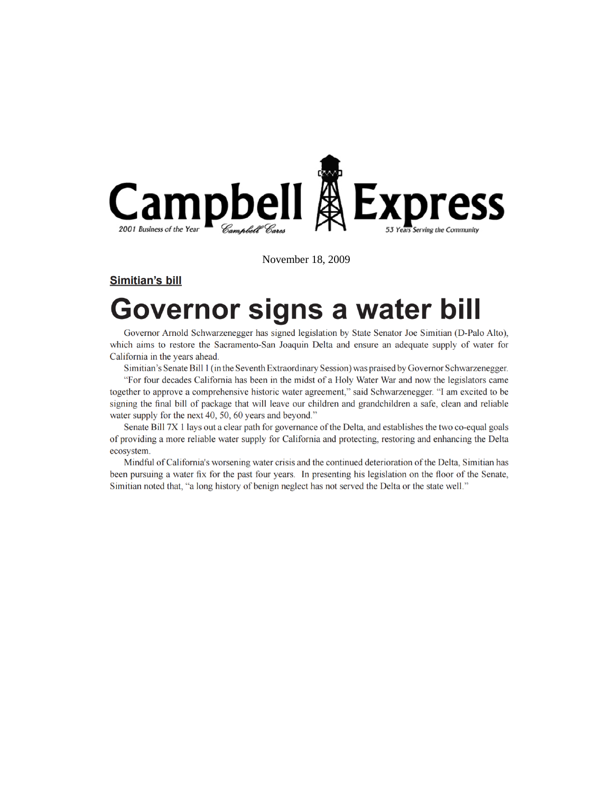

November 18, 2009

**Simitian's bill** 

### Governor signs a water bill

Governor Arnold Schwarzenegger has signed legislation by State Senator Joe Simitian (D-Palo Alto), which aims to restore the Sacramento-San Joaquin Delta and ensure an adequate supply of water for California in the years ahead.

Simitian's Senate Bill 1 (in the Seventh Extraordinary Session) was praised by Governor Schwarzenegger.

"For four decades California has been in the midst of a Holy Water War and now the legislators came together to approve a comprehensive historic water agreement," said Schwarzenegger. "I am excited to be signing the final bill of package that will leave our children and grandchildren a safe, clean and reliable water supply for the next 40, 50, 60 years and beyond."

Senate Bill 7X 1 lays out a clear path for governance of the Delta, and establishes the two co-equal goals of providing a more reliable water supply for California and protecting, restoring and enhancing the Delta ecosystem

Mindful of California's worsening water crisis and the continued deterioration of the Delta, Simitian has been pursuing a water fix for the past four years. In presenting his legislation on the floor of the Senate, Similian noted that, "a long history of benign neglect has not served the Delta or the state well."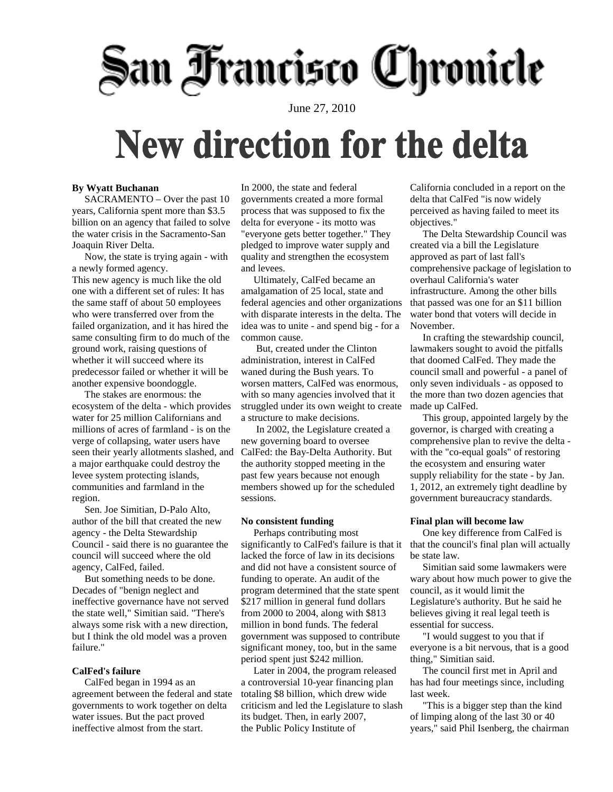# San Francisco Chronicle

June 27, 2010

### **New direction for the delta**

#### **By Wyatt Buchanan**

 SACRAMENTO – Over the past 10 years, California spent more than \$3.5 billion on an agency that failed to solve the water crisis in the Sacramento-San Joaquin River Delta.

 Now, the state is trying again - with a newly formed agency. This new agency is much like the old one with a different set of rules: It has the same staff of about 50 employees who were transferred over from the failed organization, and it has hired the same consulting firm to do much of the ground work, raising questions of whether it will succeed where its predecessor failed or whether it will be another expensive boondoggle.

 The stakes are enormous: the ecosystem of the delta - which provides water for 25 million Californians and millions of acres of farmland - is on the verge of collapsing, water users have seen their yearly allotments slashed, and a major earthquake could destroy the levee system protecting islands, communities and farmland in the region.

 Sen. [Joe Simitian,](http://www.sfgate.com/search/?action=search&channel=green&inlineLink=1&searchindex=gsa&query=%22Joe+Simitian%22) D-Palo Alto, author of the bill that created the new agency - the [Delta Stewardship](http://www.sfgate.com/search/?action=search&channel=green&inlineLink=1&searchindex=gsa&query=%22Delta+Stewardship+Council%22)  [Council](http://www.sfgate.com/search/?action=search&channel=green&inlineLink=1&searchindex=gsa&query=%22Delta+Stewardship+Council%22) - said there is no guarantee the council will succeed where the old agency, CalFed, failed.

 But something needs to be done. Decades of "benign neglect and ineffective governance have not served the state well," Simitian said. "There's always some risk with a new direction, but I think the old model was a proven failure."

#### **CalFed's failure**

 CalFed began in 1994 as an agreement between the federal and state governments to work together on delta water issues. But the pact proved ineffective almost from the start.

In 2000, the state and federal governments created a more formal process that was supposed to fix the delta for everyone - its motto was "everyone gets better together." They pledged to improve water supply and quality and strengthen the ecosystem and levees.

 Ultimately, CalFed became an amalgamation of 25 local, state and federal agencies and other organizations with disparate interests in the delta. The idea was to unite - and spend big - for a common cause.

 But, created under the Clinton administration, interest in CalFed waned during the Bush years. To worsen matters, CalFed was enormous, with so many agencies involved that it struggled under its own weight to create a structure to make decisions.

 In 2002, the Legislature created a new governing board to oversee CalFed: the Bay[-Delta Authority.](http://www.sfgate.com/search/?action=search&channel=green&inlineLink=1&searchindex=gsa&query=%22Delta+Authority%22) But the authority stopped meeting in the past few years because not enough members showed up for the scheduled sessions.

#### **No consistent funding**

 Perhaps contributing most significantly to CalFed's failure is that it lacked the force of law in its decisions and did not have a consistent source of funding to operate. An audit of the program determined that the state spent \$217 million in general fund dollars from 2000 to 2004, along with \$813 million in bond funds. The federal government was supposed to contribute significant money, too, but in the same period spent just \$242 million.

 Later in 2004, the program released a controversial 10-year financing plan totaling \$8 billion, which drew wide criticism and led the Legislature to slash its budget. Then, in early 2007, the [Public Policy Institute of](http://www.sfgate.com/search/?action=search&channel=green&inlineLink=1&searchindex=gsa&query=%22Public+Policy+Institute+of+California%22) 

[California](http://www.sfgate.com/search/?action=search&channel=green&inlineLink=1&searchindex=gsa&query=%22Public+Policy+Institute+of+California%22) concluded in a report on the delta that CalFed "is now widely perceived as having failed to meet its objectives."

 The Delta Stewardship Council was created via a bill the Legislature approved as part of last fall's comprehensive package of legislation to overhaul California's water infrastructure. Among the other bills that passed was one for an \$11 billion water bond that voters will decide in November.

 In crafting the stewardship council, lawmakers sought to avoid the pitfalls that doomed CalFed. They made the council small and powerful - a panel of only seven individuals - as opposed to the more than two dozen agencies that made up CalFed.

 This group, appointed largely by the governor, is charged with creating a comprehensive plan to revive the delta with the "co-equal goals" of restoring the ecosystem and ensuring water supply reliability for the state - by Jan. 1, 2012, an extremely tight deadline by government bureaucracy standards.

#### **Final plan will become law**

 One key difference from CalFed is that the council's final plan will actually be state law.

 Simitian said some lawmakers were wary about how much power to give the council, as it would limit the Legislature's authority. But he said he believes giving it real legal teeth is essential for success.

 "I would suggest to you that if everyone is a bit nervous, that is a good thing," Simitian said.

 The council first met in April and has had four meetings since, including last week.

 "This is a bigger step than the kind of limping along of the last 30 or 40 years," said [Phil Isenberg,](http://www.sfgate.com/search/?action=search&channel=green&inlineLink=1&searchindex=gsa&query=%22Phil+Isenberg%22) the chairman